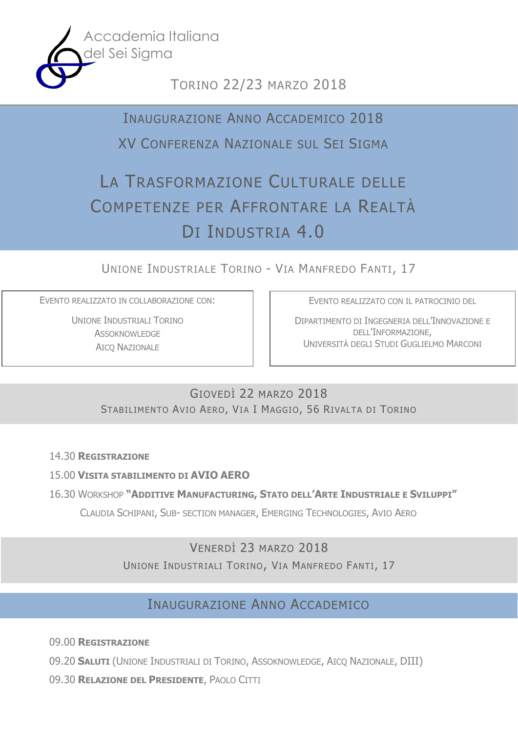

# TORINO 22/23 MARZO 2018

# INAUGURAZIONE ANNO ACCADEMICO 2018

# XV CONFERENZA NAZIONALE SUL SEI SIGMA

# LA TRASFORMAZIONE CULTURALE DELLE COMPETENZE PER AFFRONTARE LA REALTÀ DI INDUSTRIA 4.0

UNIONE INDUSTRIALE TORINO - VIA MANFREDO FANTI, 17

EVENTO REALIZZATO IN COLLABORAZIONE CON:

UNIONE INDUSTRIALI TORINO **ASSOKNOWLEDGE** AICQ NAZIONALE

EVENTO REALIZZATO CON IL PATROCINIO DEL

DIPARTIMENTO DI INGEGNERIA DELL'INNOVAZIONE E DELL'INFORMAZIONE, UNIVERSITÀ DEGLI STUDI GUGLIELMO MARCONI

# GIOVEDÌ 22 MARZO 2018 STABILIMENTO AVIO AERO, VIA I MAGGIO, 56 RIVALTA DI TORINO

14.30 **REGISTRAZIONE**

## 15.00 **VISITA STABILIMENTO DI AVIO AERO**

16.30 WORKSHOP **"ADDITIVE MANUFACTURING, STATO DELL'ARTE INDUSTRIALE E SVILUPPI"**

CLAUDIA SCHIPANI, SUB- SECTION MANAGER, EMERGING TECHNOLOGIES, AVIO AERO

# VENERDÌ 23 MARZO 2018

UNIONE INDUSTRIALI TORINO, VIA MANFREDO FANTI, 17

# INAUGURAZIONE ANNO ACCADEMICO

09.00 **REGISTRAZIONE**

09.20 **SALUTI** (UNIONE INDUSTRIALI DI TORINO, ASSOKNOWLEDGE, AICQ NAZIONALE, DIII)

09.30 **RELAZIONE DEL PRESIDENTE**, PAOLO CITTI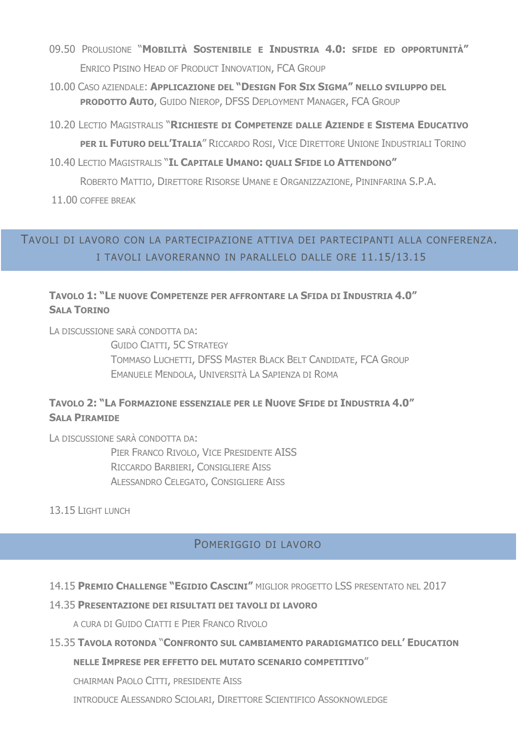- 09.50 PROLUSIONE "MOBILITÀ SOSTENIBILE E INDUSTRIA 4.0: SFIDE ED OPPORTUNITÀ" ENRICO PISINO HEAD OF PRODUCT INNOVATION, FCA GROUP
- 10.00 CASO AZIENDALE: APPLICAZIONE DEL "DESIGN FOR SIX SIGMA" NELLO SVILUPPO DEL **PRODOTTO AUTO, GUIDO NIEROP, DFSS DEPLOYMENT MANAGER, FCA GROUP**
- 10.20 LECTIO MAGISTRALIS "RICHIESTE DI COMPETENZE DALLE AZIENDE E SISTEMA EDUCATIVO

PER IL FUTURO DELL'ITALIA" RICCARDO ROSI, VICE DIRETTORE UNIONE INDUSTRIALI TORINO

10.40 LECTIO MAGISTRALIS "IL CAPITALE UMANO: QUALI SFIDE LO ATTENDONO"

ROBERTO MATTIO, DIRETTORE RISORSE UMANE E ORGANIZZAZIONE, PININFARINA S.P.A.

11.00 COFFFF BRFAK

# TAVOLI DI LAVORO CON LA PARTECIPAZIONE ATTIVA DEI PARTECIPANTI ALLA CONFERENZA. I TAVOLI LAVORERANNO IN PARALLELO DALLE ORE 11.15/13.15

## TAVOLO 1: "LE NUOVE COMPETENZE PER AFFRONTARE LA SFIDA DI INDUSTRIA 4.0" **SALA TORTNO**

LA DISCUSSIONE SARÀ CONDOTTA DA:

**GUIDO CIATTI, 5C STRATEGY** TOMMASO LUCHETTI, DFSS MASTER BLACK BELT CANDIDATE, FCA GROUP EMANUELE MENDOLA, UNIVERSITÀ LA SAPIENZA DI ROMA

## TAVOLO 2: "LA FORMAZIONE ESSENZIALE PER LE NUOVE SFIDE DI INDUSTRIA 4.0" **SALA PTRAMTDE**

LA DISCUSSIONE SARÀ CONDOTTA DA: PIER FRANCO RIVOLO, VICE PRESIDENTE AISS RICCARDO BARBIERI, CONSIGLIERE AISS ALESSANDRO CELEGATO, CONSIGLIERE AISS

## 13.15 LIGHT LUNCH

## POMERIGGIO DI LAVORO

### 14.15 PREMIO CHALLENGE "EGIDIO CASCINI" MIGLIOR PROGETTO LSS PRESENTATO NEL 2017

#### 14.35 PRESENTAZIONE DEI RISULTATI DEI TAVOLI DI LAVORO

A CURA DI GUIDO CIATTI E PIER FRANCO RIVOLO

#### 15.35 TAVOLA ROTONDA "CONFRONTO SUL CAMBIAMENTO PARADIGMATICO DELL' EDUCATION

#### NELLE IMPRESE PER EFFETTO DEL MUTATO SCENARIO COMPETITIVO"

CHAIRMAN PAOLO CITTI, PRESIDENTE AISS

INTRODUCE ALESSANDRO SCIOLARI, DIRETTORE SCIENTIFICO ASSOKNOWLEDGE